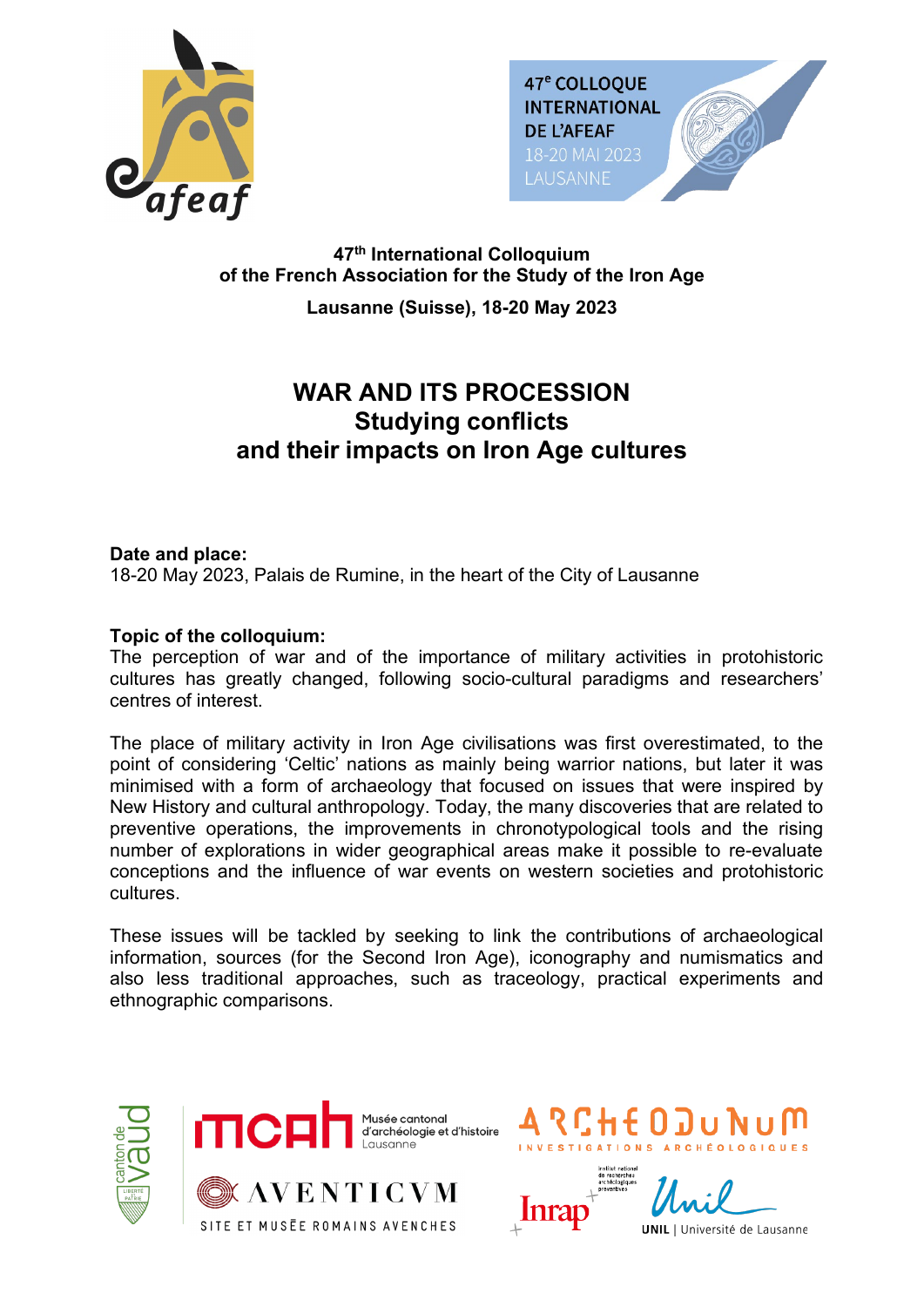



### **47th International Colloquium of the French Association for the Study of the Iron Age**

**Lausanne (Suisse), 18-20 May 2023**

# **WAR AND ITS PROCESSION Studying conflicts and their impacts on Iron Age cultures**

### **Date and place:**

18-20 May 2023, Palais de Rumine, in the heart of the City of Lausanne

### **Topic of the colloquium:**

The perception of war and of the importance of military activities in protohistoric cultures has greatly changed, following socio-cultural paradigms and researchers' centres of interest.

The place of military activity in Iron Age civilisations was first overestimated, to the point of considering 'Celtic' nations as mainly being warrior nations, but later it was minimised with a form of archaeology that focused on issues that were inspired by New History and cultural anthropology. Today, the many discoveries that are related to preventive operations, the improvements in chronotypological tools and the rising number of explorations in wider geographical areas make it possible to re-evaluate conceptions and the influence of war events on western societies and protohistoric cultures.

These issues will be tackled by seeking to link the contributions of archaeological information, sources (for the Second Iron Age), iconography and numismatics and also less traditional approaches, such as traceology, practical experiments and ethnographic comparisons.



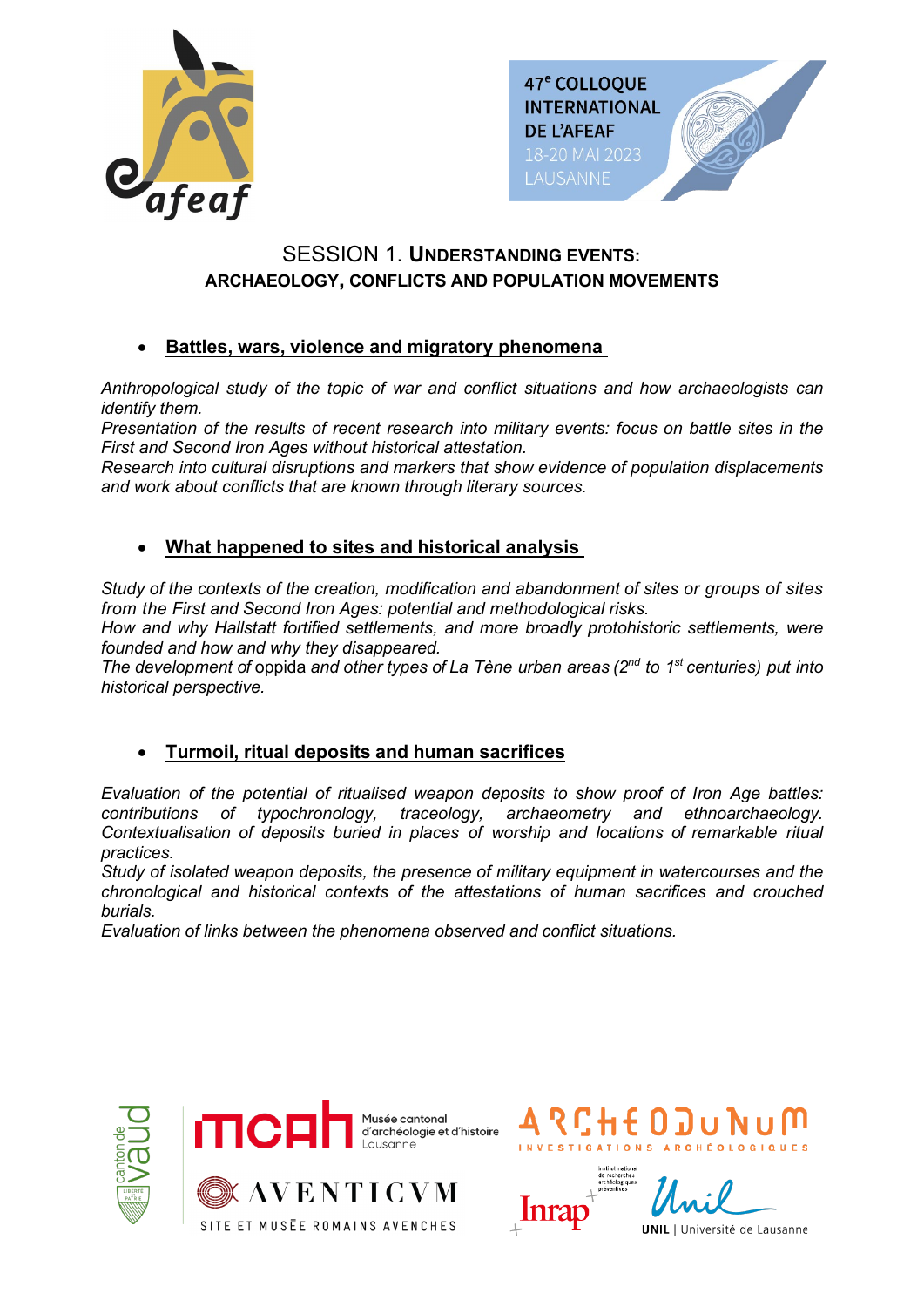



# SESSION 1. **UNDERSTANDING EVENTS: ARCHAEOLOGY, CONFLICTS AND POPULATION MOVEMENTS**

### • **Battles, wars, violence and migratory phenomena**

*Anthropological study of the topic of war and conflict situations and how archaeologists can identify them.*

*Presentation of the results of recent research into military events: focus on battle sites in the First and Second Iron Ages without historical attestation.*

*Research into cultural disruptions and markers that show evidence of population displacements and work about conflicts that are known through literary sources.*

### • **What happened to sites and historical analysis**

*Study of the contexts of the creation, modification and abandonment of sites or groups of sites from the First and Second Iron Ages: potential and methodological risks.*

*How and why Hallstatt fortified settlements, and more broadly protohistoric settlements, were founded and how and why they disappeared.*

*The development of* oppida *and other types of La Tène urban areas (2nd to 1st centuries) put into historical perspective.*

### • **Turmoil, ritual deposits and human sacrifices**

*Evaluation of the potential of ritualised weapon deposits to show proof of Iron Age battles: archaeometry and ethnoarchaeology. Contextualisation of deposits buried in places of worship and locations of remarkable ritual practices.*

*Study of isolated weapon deposits, the presence of military equipment in watercourses and the chronological and historical contexts of the attestations of human sacrifices and crouched burials.*

*Evaluation of links between the phenomena observed and conflict situations.*



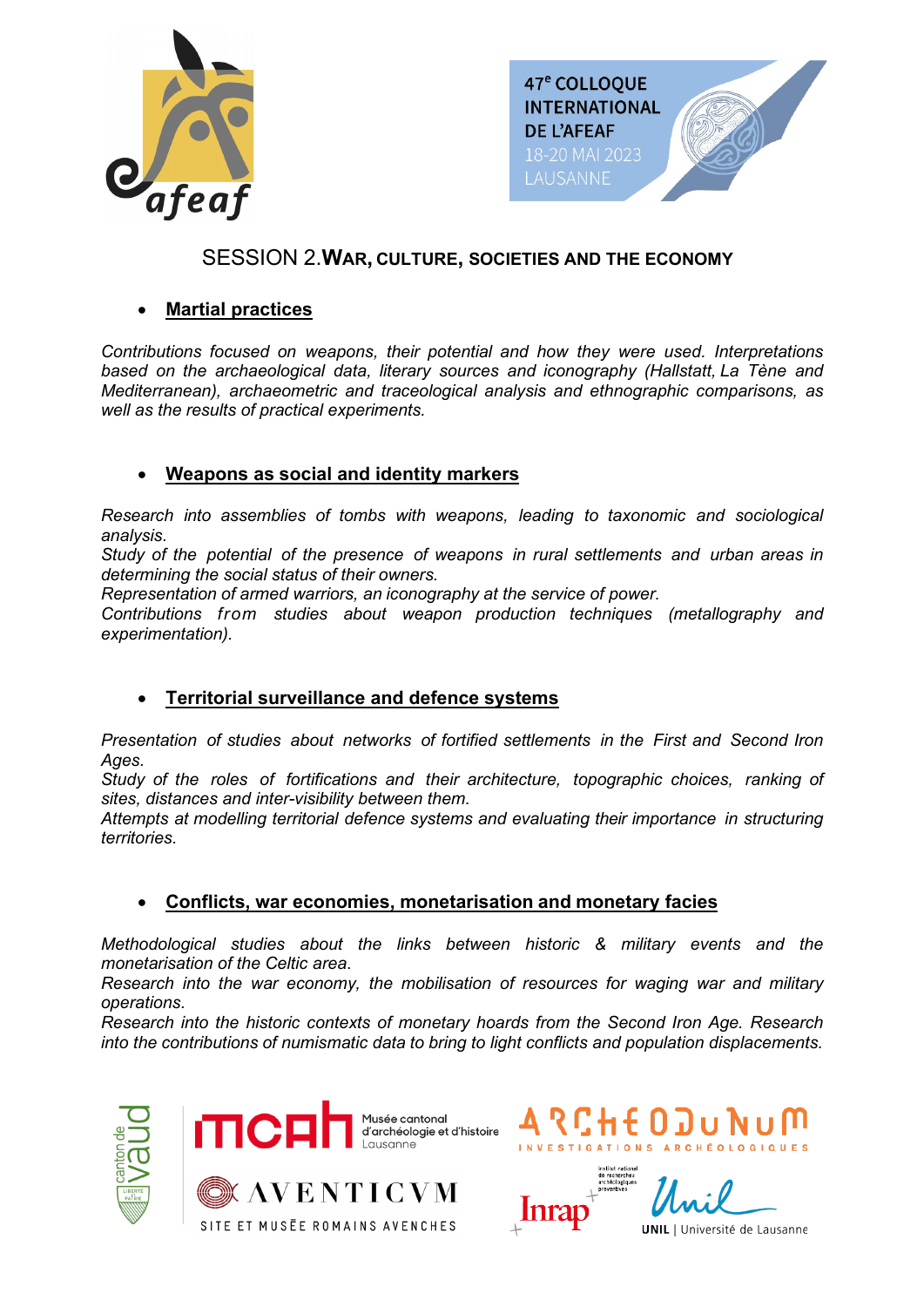



## SESSION 2.**WAR, CULTURE, SOCIETIES AND THE ECONOMY**

### • **Martial practices**

*Contributions focused on weapons, their potential and how they were used. Interpretations based on the archaeological data, literary sources and iconography (Hallstatt, La Tène and Mediterranean), archaeometric and traceological analysis and ethnographic comparisons, as well as the results of practical experiments.*

### • **Weapons as social and identity markers**

*Research into assemblies of tombs with weapons, leading to taxonomic and sociological analysis.*

*Study of the potential of the presence of weapons in rural settlements and urban areas in determining the social status of their owners.*

*Representation of armed warriors, an iconography at the service of power.*

*Contributions from studies about weapon production techniques (metallography and experimentation).*

### • **Territorial surveillance and defence systems**

*Presentation of studies about networks of fortified settlements in the First and Second Iron Ages.*

*Study of the roles of fortifications and their architecture, topographic choices, ranking of sites, distances and inter-visibility between them.*

*Attempts at modelling territorial defence systems and evaluating their importance in structuring territories.*

### • **Conflicts, war economies, monetarisation and monetary facies**

*Methodological studies about the links between historic & military events and the monetarisation of the Celtic area*.

*Research into the war economy, the mobilisation of resources for waging war and military operations.*

*Research into the historic contexts of monetary hoards from the Second Iron Age. Research into the contributions of numismatic data to bring to light conflicts and population displacements.*



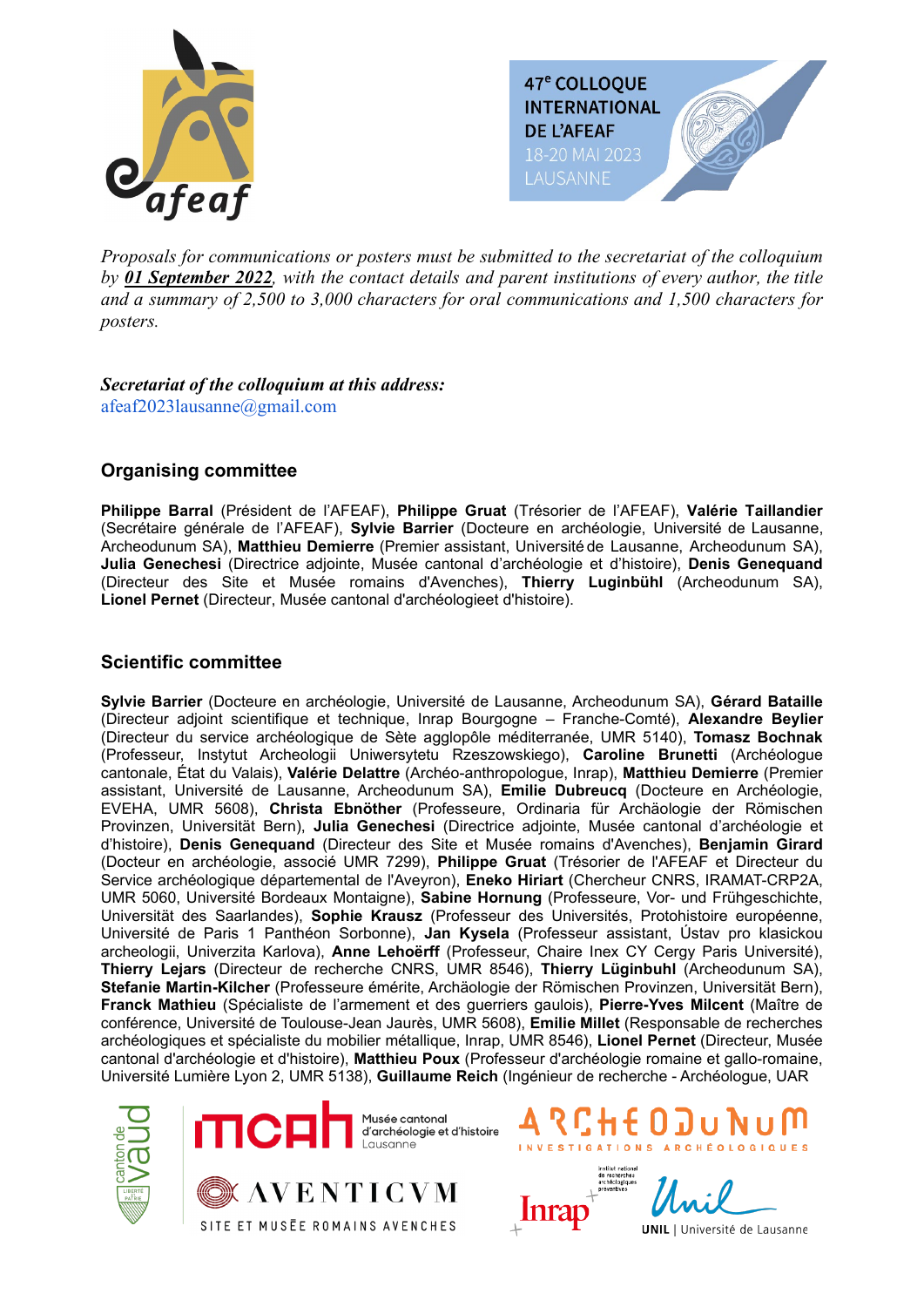



*Proposals for communications or posters must be submitted to the secretariat of the colloquium by 01 September 2022, with the contact details and parent institutions of every author, the title and a summary of 2,500 to 3,000 characters for oral communications and 1,500 characters for posters.*

*Secretariat of the colloquium at this address:* afeaf2023lausanne@gmail.com

#### **Organising committee**

**Philippe Barral** (Président de l'AFEAF), **Philippe Gruat** (Trésorier de l'AFEAF), **Valérie Taillandier**  (Secrétaire générale de l'AFEAF), **Sylvie Barrier** (Docteure en archéologie, Université de Lausanne, Archeodunum SA), **Matthieu Demierre** (Premier assistant, Université de Lausanne, Archeodunum SA), **Julia Genechesi** (Directrice adjointe, Musée cantonal d'archéologie et d'histoire), **Denis Genequand** (Directeur des Site et Musée romains d'Avenches), **Thierry Luginbühl** (Archeodunum SA), **Lionel Pernet** (Directeur, Musée cantonal d'archéologieet d'histoire).

#### **Scientific committee**

**Sylvie Barrier** (Docteure en archéologie, Université de Lausanne, Archeodunum SA), **Gérard Bataille** (Directeur adjoint scientifique et technique, Inrap Bourgogne – Franche-Comté), **Alexandre Beylier** (Directeur du service archéologique de Sète agglopôle méditerranée, UMR 5140), **Tomasz Bochnak** (Professeur, Instytut Archeologii Uniwersytetu Rzeszowskiego), **Caroline Brunetti** (Archéologue cantonale, État du Valais), **Valérie Delattre** (Archéo-anthropologue, Inrap), **Matthieu Demierre** (Premier assistant, Université de Lausanne, Archeodunum SA), **Emilie Dubreucq** (Docteure en Archéologie, EVEHA, UMR 5608), **Christa Ebnöther** (Professeure, Ordinaria für Archäologie der Römischen Provinzen, Universität Bern), **Julia Genechesi** (Directrice adjointe, Musée cantonal d'archéologie et d'histoire), **Denis Genequand** (Directeur des Site et Musée romains d'Avenches), **Benjamin Girard** (Docteur en archéologie, associé UMR 7299), **Philippe Gruat** (Trésorier de l'AFEAF et Directeur du Service archéologique départemental de l'Aveyron), **Eneko Hiriart** (Chercheur CNRS, IRAMAT-CRP2A, UMR 5060, Université Bordeaux Montaigne), **Sabine Hornung** (Professeure, Vor- und Frühgeschichte, Universität des Saarlandes), **Sophie Krausz** (Professeur des Universités, Protohistoire européenne, Université de Paris 1 Panthéon Sorbonne), **Jan Kysela** (Professeur assistant, Ústav pro klasickou archeologii, Univerzita Karlova), **Anne Lehoërff** (Professeur, Chaire Inex CY Cergy Paris Université), **Thierry Lejars** (Directeur de recherche CNRS, UMR 8546), **Thierry Lüginbuhl** (Archeodunum SA), **Stefanie Martin-Kilcher** (Professeure émérite, Archäologie der Römischen Provinzen, Universität Bern), **Franck Mathieu** (Spécialiste de l'armement et des guerriers gaulois), **Pierre-Yves Milcent** (Maître de conférence, Université de Toulouse-Jean Jaurès, UMR 5608), **Emilie Millet** (Responsable de recherches archéologiques et spécialiste du mobilier métallique, Inrap, UMR 8546), **Lionel Pernet** (Directeur, Musée cantonal d'archéologie et d'histoire), **Matthieu Poux** (Professeur d'archéologie romaine et gallo-romaine, Université Lumière Lyon 2, UMR 5138), **Guillaume Reich** (Ingénieur de recherche - Archéologue, UAR